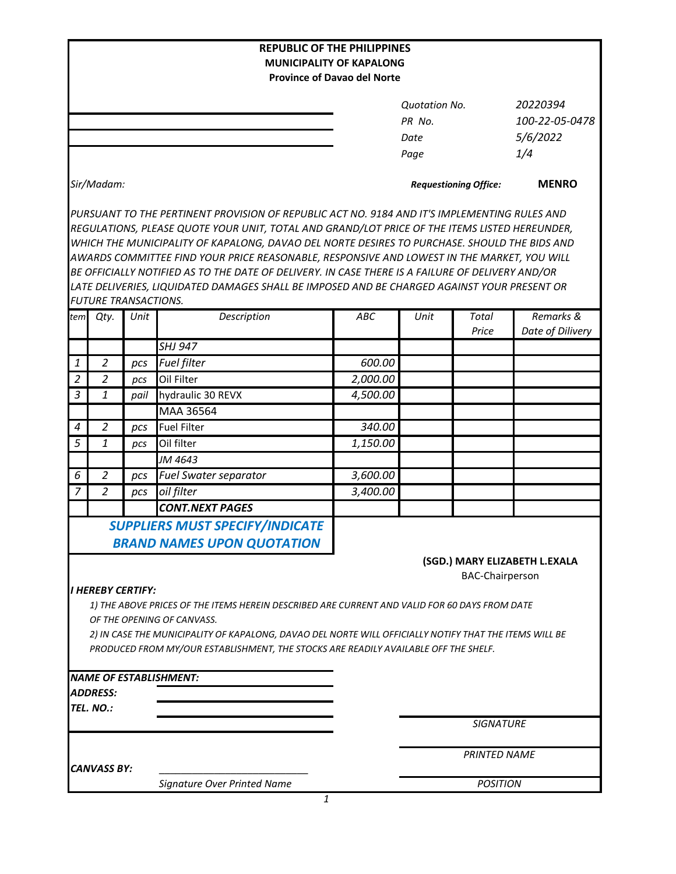|                |                                 |      |                                                                                                        | <b>REPUBLIC OF THE PHILIPPINES</b> |                      |                              |                               |
|----------------|---------------------------------|------|--------------------------------------------------------------------------------------------------------|------------------------------------|----------------------|------------------------------|-------------------------------|
|                |                                 |      |                                                                                                        | <b>MUNICIPALITY OF KAPALONG</b>    |                      |                              |                               |
|                |                                 |      |                                                                                                        | <b>Province of Davao del Norte</b> |                      |                              |                               |
|                |                                 |      |                                                                                                        |                                    | <b>Quotation No.</b> |                              | 20220394                      |
|                |                                 |      |                                                                                                        |                                    | PR No.               |                              | 100-22-05-0478                |
|                |                                 |      |                                                                                                        |                                    | Date                 |                              | 5/6/2022                      |
|                |                                 |      |                                                                                                        |                                    | Page                 |                              | 1/4                           |
|                |                                 |      |                                                                                                        |                                    |                      |                              |                               |
|                | Sir/Madam:                      |      |                                                                                                        |                                    |                      | <b>Requestioning Office:</b> | <b>MENRO</b>                  |
|                |                                 |      | PURSUANT TO THE PERTINENT PROVISION OF REPUBLIC ACT NO. 9184 AND IT'S IMPLEMENTING RULES AND           |                                    |                      |                              |                               |
|                |                                 |      | REGULATIONS, PLEASE QUOTE YOUR UNIT, TOTAL AND GRAND/LOT PRICE OF THE ITEMS LISTED HEREUNDER,          |                                    |                      |                              |                               |
|                |                                 |      | WHICH THE MUNICIPALITY OF KAPALONG, DAVAO DEL NORTE DESIRES TO PURCHASE. SHOULD THE BIDS AND           |                                    |                      |                              |                               |
|                |                                 |      | AWARDS COMMITTEE FIND YOUR PRICE REASONABLE, RESPONSIVE AND LOWEST IN THE MARKET, YOU WILL             |                                    |                      |                              |                               |
|                |                                 |      | BE OFFICIALLY NOTIFIED AS TO THE DATE OF DELIVERY. IN CASE THERE IS A FAILURE OF DELIVERY AND/OR       |                                    |                      |                              |                               |
|                |                                 |      | LATE DELIVERIES, LIQUIDATED DAMAGES SHALL BE IMPOSED AND BE CHARGED AGAINST YOUR PRESENT OR            |                                    |                      |                              |                               |
|                | <b>FUTURE TRANSACTIONS.</b>     |      |                                                                                                        |                                    |                      |                              |                               |
| tem            | Qty.                            | Unit | Description                                                                                            | <b>ABC</b>                         | Unit                 | <b>Total</b><br>Price        | Remarks &<br>Date of Dilivery |
|                |                                 |      | <b>SHJ 947</b>                                                                                         |                                    |                      |                              |                               |
| 1              | $\overline{2}$                  | pcs  | <b>Fuel filter</b>                                                                                     | 600.00                             |                      |                              |                               |
| $\overline{2}$ | $\overline{2}$                  | pcs  | Oil Filter                                                                                             | 2,000.00                           |                      |                              |                               |
| 3              | 1                               | pail | hydraulic 30 REVX                                                                                      | 4,500.00                           |                      |                              |                               |
|                |                                 |      | MAA 36564                                                                                              |                                    |                      |                              |                               |
| 4              | $\overline{2}$                  | pcs  | <b>Fuel Filter</b>                                                                                     | 340.00                             |                      |                              |                               |
| 5              | 1                               | pcs  | Oil filter                                                                                             | 1,150.00                           |                      |                              |                               |
|                |                                 |      | JM 4643                                                                                                |                                    |                      |                              |                               |
| 6              | $\overline{2}$                  | pcs  | <b>Fuel Swater separator</b>                                                                           | 3,600.00                           |                      |                              |                               |
| $\overline{7}$ | $\overline{2}$                  | pcs  | oil filter                                                                                             | 3,400.00                           |                      |                              |                               |
|                |                                 |      | <b>CONT.NEXT PAGES</b>                                                                                 |                                    |                      |                              |                               |
|                |                                 |      | <b>SUPPLIERS MUST SPECIFY/INDICATE</b>                                                                 |                                    |                      |                              |                               |
|                |                                 |      | <b>BRAND NAMES UPON QUOTATION</b>                                                                      |                                    |                      |                              |                               |
|                |                                 |      |                                                                                                        |                                    |                      |                              | (SGD.) MARY ELIZABETH L.EXALA |
|                |                                 |      |                                                                                                        |                                    |                      | <b>BAC-Chairperson</b>       |                               |
|                | <i><b>I HEREBY CERTIFY:</b></i> |      |                                                                                                        |                                    |                      |                              |                               |
|                |                                 |      | 1) THE ABOVE PRICES OF THE ITEMS HEREIN DESCRIBED ARE CURRENT AND VALID FOR 60 DAYS FROM DATE          |                                    |                      |                              |                               |
|                |                                 |      | OF THE OPENING OF CANVASS.                                                                             |                                    |                      |                              |                               |
|                |                                 |      | 2) IN CASE THE MUNICIPALITY OF KAPALONG, DAVAO DEL NORTE WILL OFFICIALLY NOTIFY THAT THE ITEMS WILL BE |                                    |                      |                              |                               |
|                |                                 |      | PRODUCED FROM MY/OUR ESTABLISHMENT, THE STOCKS ARE READILY AVAILABLE OFF THE SHELF.                    |                                    |                      |                              |                               |
|                |                                 |      |                                                                                                        |                                    |                      |                              |                               |
|                | <b>ADDRESS:</b>                 |      | <b>NAME OF ESTABLISHMENT:</b>                                                                          |                                    |                      |                              |                               |
|                | TEL. NO.:                       |      |                                                                                                        |                                    |                      |                              |                               |
|                |                                 |      |                                                                                                        |                                    |                      | <b>SIGNATURE</b>             |                               |
|                |                                 |      |                                                                                                        |                                    |                      |                              |                               |
|                |                                 |      |                                                                                                        |                                    |                      | <b>PRINTED NAME</b>          |                               |
|                | <b>CANVASS BY:</b>              |      |                                                                                                        |                                    |                      |                              |                               |
|                |                                 |      | Signature Over Printed Name                                                                            |                                    | <b>POSITION</b>      |                              |                               |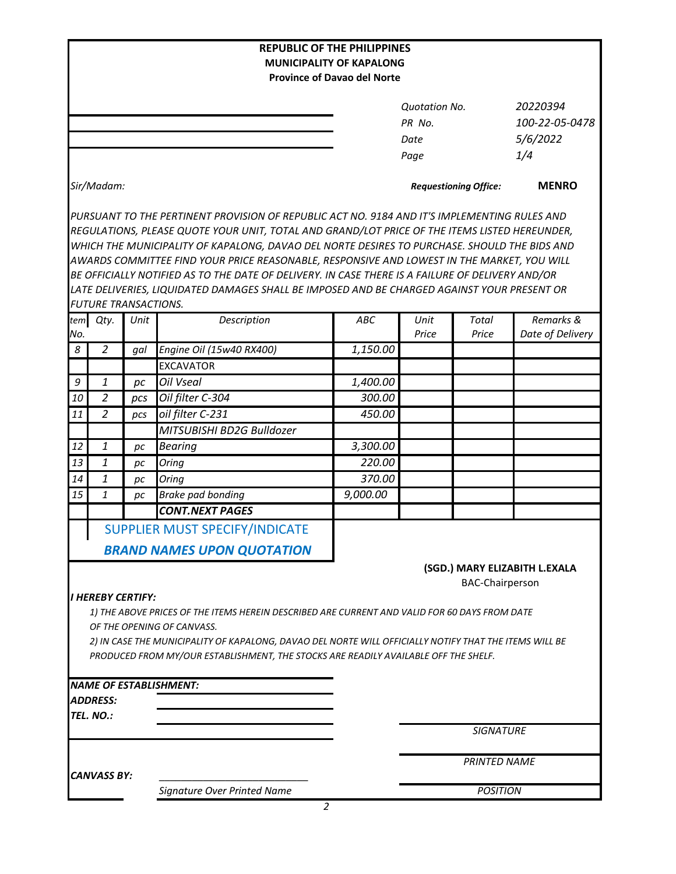|                                                                                                                                      |                             |      |                                                                                                                                                                                               | <b>REPUBLIC OF THE PHILIPPINES</b><br><b>MUNICIPALITY OF KAPALONG</b> |                              |                        |                               |  |
|--------------------------------------------------------------------------------------------------------------------------------------|-----------------------------|------|-----------------------------------------------------------------------------------------------------------------------------------------------------------------------------------------------|-----------------------------------------------------------------------|------------------------------|------------------------|-------------------------------|--|
|                                                                                                                                      |                             |      |                                                                                                                                                                                               | <b>Province of Davao del Norte</b>                                    |                              |                        |                               |  |
|                                                                                                                                      |                             |      |                                                                                                                                                                                               |                                                                       |                              |                        |                               |  |
|                                                                                                                                      |                             |      |                                                                                                                                                                                               |                                                                       | <b>Quotation No.</b>         |                        | 20220394                      |  |
|                                                                                                                                      |                             |      |                                                                                                                                                                                               |                                                                       | PR No.                       |                        | 100-22-05-0478                |  |
|                                                                                                                                      |                             |      |                                                                                                                                                                                               |                                                                       | Date                         |                        | 5/6/2022                      |  |
|                                                                                                                                      |                             |      |                                                                                                                                                                                               |                                                                       | Page                         |                        | 1/4                           |  |
| Sir/Madam:                                                                                                                           |                             |      |                                                                                                                                                                                               |                                                                       | <b>Requestioning Office:</b> | <b>MENRO</b>           |                               |  |
|                                                                                                                                      |                             |      | PURSUANT TO THE PERTINENT PROVISION OF REPUBLIC ACT NO. 9184 AND IT'S IMPLEMENTING RULES AND<br>REGULATIONS, PLEASE QUOTE YOUR UNIT, TOTAL AND GRAND/LOT PRICE OF THE ITEMS LISTED HEREUNDER, |                                                                       |                              |                        |                               |  |
|                                                                                                                                      |                             |      | WHICH THE MUNICIPALITY OF KAPALONG, DAVAO DEL NORTE DESIRES TO PURCHASE. SHOULD THE BIDS AND                                                                                                  |                                                                       |                              |                        |                               |  |
|                                                                                                                                      |                             |      | AWARDS COMMITTEE FIND YOUR PRICE REASONABLE, RESPONSIVE AND LOWEST IN THE MARKET, YOU WILL                                                                                                    |                                                                       |                              |                        |                               |  |
|                                                                                                                                      |                             |      | BE OFFICIALLY NOTIFIED AS TO THE DATE OF DELIVERY. IN CASE THERE IS A FAILURE OF DELIVERY AND/OR                                                                                              |                                                                       |                              |                        |                               |  |
|                                                                                                                                      |                             |      | LATE DELIVERIES, LIQUIDATED DAMAGES SHALL BE IMPOSED AND BE CHARGED AGAINST YOUR PRESENT OR                                                                                                   |                                                                       |                              |                        |                               |  |
|                                                                                                                                      | <b>FUTURE TRANSACTIONS.</b> |      |                                                                                                                                                                                               |                                                                       |                              |                        |                               |  |
| tem                                                                                                                                  | Qty.                        | Unit | Description                                                                                                                                                                                   | ABC                                                                   | Unit                         | <b>Total</b>           | Remarks &                     |  |
| No.                                                                                                                                  |                             |      |                                                                                                                                                                                               |                                                                       | Price                        | Price                  | Date of Delivery              |  |
| 8                                                                                                                                    | $\overline{2}$              | gal  | Engine Oil (15w40 RX400)                                                                                                                                                                      | 1,150.00                                                              |                              |                        |                               |  |
|                                                                                                                                      |                             |      | <b>EXCAVATOR</b>                                                                                                                                                                              |                                                                       |                              |                        |                               |  |
| 9                                                                                                                                    | 1                           | pc   | <b>Oil Vseal</b>                                                                                                                                                                              | 1,400.00                                                              |                              |                        |                               |  |
| 10                                                                                                                                   | $\overline{2}$              | pcs  | Oil filter C-304                                                                                                                                                                              | 300.00                                                                |                              |                        |                               |  |
| 11                                                                                                                                   | $\overline{2}$              | pcs  | oil filter C-231                                                                                                                                                                              | 450.00                                                                |                              |                        |                               |  |
|                                                                                                                                      |                             |      | MITSUBISHI BD2G Bulldozer                                                                                                                                                                     |                                                                       |                              |                        |                               |  |
| 12                                                                                                                                   | 1                           | pc   | <b>Bearing</b>                                                                                                                                                                                | 3,300.00                                                              |                              |                        |                               |  |
| 13                                                                                                                                   | 1                           | рc   | Oring                                                                                                                                                                                         | 220.00                                                                |                              |                        |                               |  |
| 14                                                                                                                                   | 1                           | pс   | Oring                                                                                                                                                                                         | 370.00                                                                |                              |                        |                               |  |
| 15                                                                                                                                   | $\mathbf{1}$                | рc   | <b>Brake pad bonding</b>                                                                                                                                                                      | 9,000.00                                                              |                              |                        |                               |  |
|                                                                                                                                      |                             |      | <b>CONT.NEXT PAGES</b>                                                                                                                                                                        |                                                                       |                              |                        |                               |  |
|                                                                                                                                      |                             |      | SUPPLIER MUST SPECIFY/INDICATE                                                                                                                                                                |                                                                       |                              |                        |                               |  |
|                                                                                                                                      |                             |      |                                                                                                                                                                                               |                                                                       |                              |                        |                               |  |
|                                                                                                                                      |                             |      | <b>BRAND NAMES UPON QUOTATION</b>                                                                                                                                                             |                                                                       |                              |                        |                               |  |
|                                                                                                                                      |                             |      |                                                                                                                                                                                               |                                                                       |                              |                        | (SGD.) MARY ELIZABITH L.EXALA |  |
|                                                                                                                                      |                             |      |                                                                                                                                                                                               |                                                                       |                              | <b>BAC-Chairperson</b> |                               |  |
|                                                                                                                                      | <b>I HEREBY CERTIFY:</b>    |      |                                                                                                                                                                                               |                                                                       |                              |                        |                               |  |
|                                                                                                                                      |                             |      | 1) THE ABOVE PRICES OF THE ITEMS HEREIN DESCRIBED ARE CURRENT AND VALID FOR 60 DAYS FROM DATE                                                                                                 |                                                                       |                              |                        |                               |  |
| OF THE OPENING OF CANVASS.<br>2) IN CASE THE MUNICIPALITY OF KAPALONG, DAVAO DEL NORTE WILL OFFICIALLY NOTIFY THAT THE ITEMS WILL BE |                             |      |                                                                                                                                                                                               |                                                                       |                              |                        |                               |  |
|                                                                                                                                      |                             |      | PRODUCED FROM MY/OUR ESTABLISHMENT, THE STOCKS ARE READILY AVAILABLE OFF THE SHELF.                                                                                                           |                                                                       |                              |                        |                               |  |
|                                                                                                                                      |                             |      |                                                                                                                                                                                               |                                                                       |                              |                        |                               |  |
|                                                                                                                                      |                             |      | <b>NAME OF ESTABLISHMENT:</b>                                                                                                                                                                 |                                                                       |                              |                        |                               |  |
|                                                                                                                                      | <b>ADDRESS:</b>             |      |                                                                                                                                                                                               |                                                                       |                              |                        |                               |  |
|                                                                                                                                      | TEL. NO.:                   |      |                                                                                                                                                                                               |                                                                       |                              |                        |                               |  |
|                                                                                                                                      |                             |      |                                                                                                                                                                                               |                                                                       |                              | <b>SIGNATURE</b>       |                               |  |
|                                                                                                                                      |                             |      |                                                                                                                                                                                               |                                                                       |                              |                        |                               |  |
| <b>CANVASS BY:</b>                                                                                                                   |                             |      |                                                                                                                                                                                               | <b>PRINTED NAME</b>                                                   |                              |                        |                               |  |
|                                                                                                                                      |                             |      | Signature Over Printed Name                                                                                                                                                                   |                                                                       |                              | <b>POSITION</b>        |                               |  |
|                                                                                                                                      |                             |      |                                                                                                                                                                                               | $\overline{a}$                                                        |                              |                        |                               |  |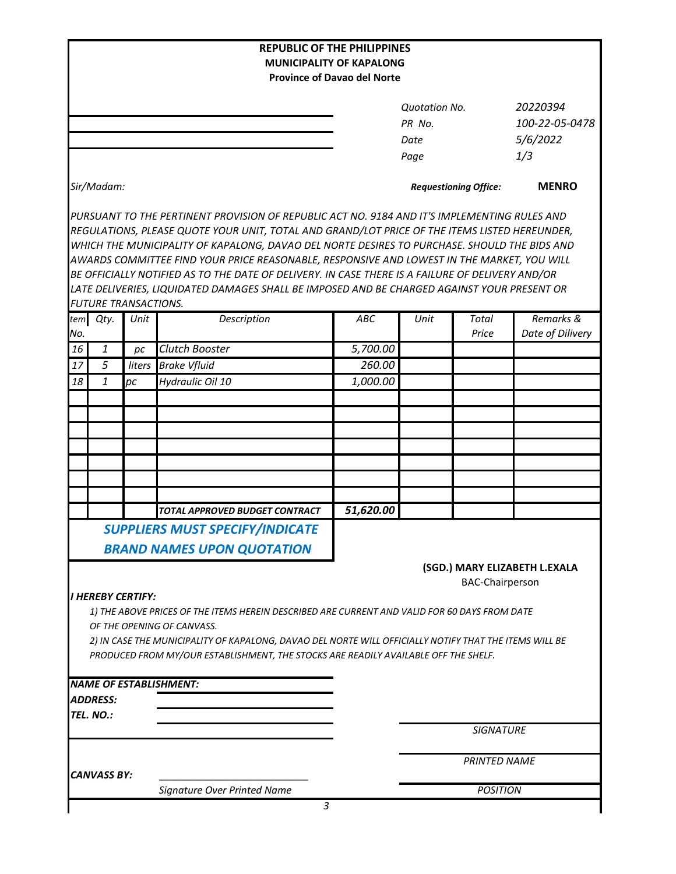|                                            |                             |                | <b>REPUBLIC OF THE PHILIPPINES</b>                                                                                                                                                                                                                                                                                                                                                                                                                                                                                                                                                             | <b>MUNICIPALITY OF KAPALONG</b>    |                              |                        |                               |
|--------------------------------------------|-----------------------------|----------------|------------------------------------------------------------------------------------------------------------------------------------------------------------------------------------------------------------------------------------------------------------------------------------------------------------------------------------------------------------------------------------------------------------------------------------------------------------------------------------------------------------------------------------------------------------------------------------------------|------------------------------------|------------------------------|------------------------|-------------------------------|
|                                            |                             |                |                                                                                                                                                                                                                                                                                                                                                                                                                                                                                                                                                                                                | <b>Province of Davao del Norte</b> |                              |                        |                               |
|                                            |                             |                |                                                                                                                                                                                                                                                                                                                                                                                                                                                                                                                                                                                                | <b>Quotation No.</b>               |                              |                        | 20220394                      |
|                                            |                             |                |                                                                                                                                                                                                                                                                                                                                                                                                                                                                                                                                                                                                |                                    | PR No.                       |                        | 100-22-05-0478                |
|                                            |                             |                |                                                                                                                                                                                                                                                                                                                                                                                                                                                                                                                                                                                                |                                    | Date                         |                        | 5/6/2022                      |
|                                            |                             |                |                                                                                                                                                                                                                                                                                                                                                                                                                                                                                                                                                                                                |                                    | Page                         |                        | 1/3                           |
|                                            | Sir/Madam:                  |                |                                                                                                                                                                                                                                                                                                                                                                                                                                                                                                                                                                                                |                                    | <b>Requestioning Office:</b> | <b>MENRO</b>           |                               |
|                                            |                             |                | PURSUANT TO THE PERTINENT PROVISION OF REPUBLIC ACT NO. 9184 AND IT'S IMPLEMENTING RULES AND<br>REGULATIONS, PLEASE QUOTE YOUR UNIT, TOTAL AND GRAND/LOT PRICE OF THE ITEMS LISTED HEREUNDER,<br>WHICH THE MUNICIPALITY OF KAPALONG, DAVAO DEL NORTE DESIRES TO PURCHASE. SHOULD THE BIDS AND<br>AWARDS COMMITTEE FIND YOUR PRICE REASONABLE, RESPONSIVE AND LOWEST IN THE MARKET, YOU WILL<br>BE OFFICIALLY NOTIFIED AS TO THE DATE OF DELIVERY. IN CASE THERE IS A FAILURE OF DELIVERY AND/OR<br>LATE DELIVERIES, LIQUIDATED DAMAGES SHALL BE IMPOSED AND BE CHARGED AGAINST YOUR PRESENT OR |                                    |                              |                        |                               |
|                                            | <b>FUTURE TRANSACTIONS.</b> |                |                                                                                                                                                                                                                                                                                                                                                                                                                                                                                                                                                                                                |                                    |                              |                        |                               |
| No.                                        | tem Qty.                    | Unit           | Description                                                                                                                                                                                                                                                                                                                                                                                                                                                                                                                                                                                    | ABC                                | Unit                         | <b>Total</b><br>Price  | Remarks &<br>Date of Dilivery |
| 16                                         | $\mathbf{1}$                | pc             | <b>Clutch Booster</b>                                                                                                                                                                                                                                                                                                                                                                                                                                                                                                                                                                          | 5,700.00                           |                              |                        |                               |
| 17                                         | 5                           | liters         | <b>Brake Vfluid</b>                                                                                                                                                                                                                                                                                                                                                                                                                                                                                                                                                                            | 260.00                             |                              |                        |                               |
| 18                                         | 1                           | $\overline{p}$ | Hydraulic Oil 10                                                                                                                                                                                                                                                                                                                                                                                                                                                                                                                                                                               | 1,000.00                           |                              |                        |                               |
|                                            |                             |                |                                                                                                                                                                                                                                                                                                                                                                                                                                                                                                                                                                                                |                                    |                              |                        |                               |
|                                            |                             |                |                                                                                                                                                                                                                                                                                                                                                                                                                                                                                                                                                                                                |                                    |                              |                        |                               |
|                                            |                             |                |                                                                                                                                                                                                                                                                                                                                                                                                                                                                                                                                                                                                |                                    |                              |                        |                               |
|                                            |                             |                |                                                                                                                                                                                                                                                                                                                                                                                                                                                                                                                                                                                                |                                    |                              |                        |                               |
|                                            |                             |                |                                                                                                                                                                                                                                                                                                                                                                                                                                                                                                                                                                                                |                                    |                              |                        |                               |
|                                            |                             |                |                                                                                                                                                                                                                                                                                                                                                                                                                                                                                                                                                                                                |                                    |                              |                        |                               |
|                                            |                             |                |                                                                                                                                                                                                                                                                                                                                                                                                                                                                                                                                                                                                | 51,620.00                          |                              |                        |                               |
|                                            |                             |                | TOTAL APPROVED BUDGET CONTRACT                                                                                                                                                                                                                                                                                                                                                                                                                                                                                                                                                                 |                                    |                              |                        |                               |
|                                            |                             |                | <b>SUPPLIERS MUST SPECIFY/INDICATE</b>                                                                                                                                                                                                                                                                                                                                                                                                                                                                                                                                                         |                                    |                              |                        |                               |
|                                            |                             |                | <b>BRAND NAMES UPON QUOTATION</b>                                                                                                                                                                                                                                                                                                                                                                                                                                                                                                                                                              |                                    |                              |                        | (SGD.) MARY ELIZABETH L.EXALA |
|                                            | <b>I HEREBY CERTIFY:</b>    |                | 1) THE ABOVE PRICES OF THE ITEMS HEREIN DESCRIBED ARE CURRENT AND VALID FOR 60 DAYS FROM DATE<br>OF THE OPENING OF CANVASS.<br>2) IN CASE THE MUNICIPALITY OF KAPALONG, DAVAO DEL NORTE WILL OFFICIALLY NOTIFY THAT THE ITEMS WILL BE<br>PRODUCED FROM MY/OUR ESTABLISHMENT, THE STOCKS ARE READILY AVAILABLE OFF THE SHELF.                                                                                                                                                                                                                                                                   |                                    |                              | <b>BAC-Chairperson</b> |                               |
|                                            |                             |                | <b>NAME OF ESTABLISHMENT:</b>                                                                                                                                                                                                                                                                                                                                                                                                                                                                                                                                                                  |                                    |                              |                        |                               |
|                                            | <b>ADDRESS:</b>             |                |                                                                                                                                                                                                                                                                                                                                                                                                                                                                                                                                                                                                |                                    |                              |                        |                               |
|                                            | TEL. NO.:                   |                |                                                                                                                                                                                                                                                                                                                                                                                                                                                                                                                                                                                                |                                    |                              |                        |                               |
|                                            |                             |                |                                                                                                                                                                                                                                                                                                                                                                                                                                                                                                                                                                                                |                                    |                              | <b>SIGNATURE</b>       |                               |
| CANVASS BY:<br>Signature Over Printed Name |                             |                |                                                                                                                                                                                                                                                                                                                                                                                                                                                                                                                                                                                                | <b>PRINTED NAME</b>                |                              |                        |                               |
|                                            |                             |                |                                                                                                                                                                                                                                                                                                                                                                                                                                                                                                                                                                                                | <b>POSITION</b>                    |                              |                        |                               |
|                                            |                             |                | 3                                                                                                                                                                                                                                                                                                                                                                                                                                                                                                                                                                                              |                                    |                              |                        |                               |